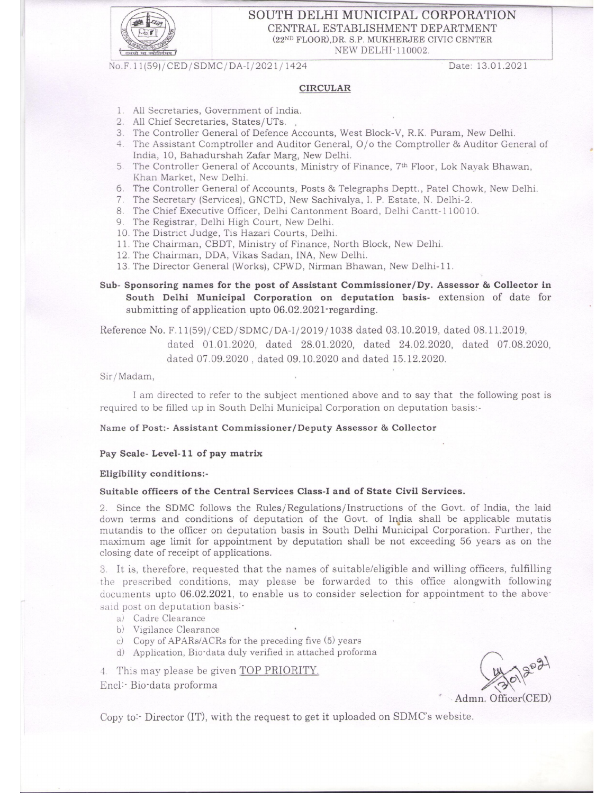

### SOUTH DELHI MUNICIPAL CORPORATION CENTRAL ESTABLISHMENT DEPARTMENT (22ND FLOOR), DR. S.P. MUKHERJEE CIVIC CENTER NEW DELHI-110002.

No.F.11(59)/CED/SDMC/DA-I/2021/1424

Date: 13.01.2021

## **CIRCULAR**

- 1. All Secretaries, Government of India.
- 2. All Chief Secretaries, States/UTs.
- 3. The Controller General of Defence Accounts, West Block-V, R.K. Puram, New Delhi.
- 4. The Assistant Comptroller and Auditor General, O/o the Comptroller & Auditor General of India, 10, Bahadurshah Zafar Marg, New Delhi.
- 5. The Controller General of Accounts, Ministry of Finance, 7<sup>th</sup> Floor, Lok Nayak Bhawan, Khan Market, New Delhi.
- 6. The Controller General of Accounts, Posts & Telegraphs Deptt., Patel Chowk, New Delhi.
- 7. The Secretary (Services), GNCTD, New Sachivalya, I. P. Estate, N. Delhi-2.
- 8. The Chief Executive Officer, Delhi Cantonment Board, Delhi Cantt-110010.
- 9. The Registrar, Delhi High Court, New Delhi.
- 10. The District Judge, Tis Hazari Courts, Delhi.
- 11. The Chairman, CBDT, Ministry of Finance, North Block, New Delhi.
- 12. The Chairman, DDA, Vikas Sadan, INA, New Delhi.
- 13. The Director General (Works), CPWD, Nirman Bhawan, New Delhi-11.

Sub- Sponsoring names for the post of Assistant Commissioner/Dy. Assessor & Collector in South Delhi Municipal Corporation on deputation basis- extension of date for submitting of application upto 06.02.2021 regarding.

Reference No. F.11(59)/CED/SDMC/DA-I/2019/1038 dated 03.10.2019, dated 08.11.2019,

dated 01.01.2020, dated 28.01.2020, dated 24.02.2020, dated 07.08.2020, dated 07.09.2020, dated 09.10.2020 and dated 15.12.2020.

#### Sir/Madam,

I am directed to refer to the subject mentioned above and to say that the following post is required to be filled up in South Delhi Municipal Corporation on deputation basis:-

#### Name of Post:- Assistant Commissioner/Deputy Assessor & Collector

#### Pay Scale- Level-11 of pay matrix

#### Eligibility conditions:-

#### Suitable officers of the Central Services Class-I and of State Civil Services.

2. Since the SDMC follows the Rules/Regulations/Instructions of the Govt. of India, the laid down terms and conditions of deputation of the Govt. of India shall be applicable mutatis mutandis to the officer on deputation basis in South Delhi Municipal Corporation. Further, the maximum age limit for appointment by deputation shall be not exceeding 56 years as on the closing date of receipt of applications.

3. It is, therefore, requested that the names of suitable/eligible and willing officers, fulfilling the prescribed conditions, may please be forwarded to this office alongwith following documents upto 06.02.2021, to enable us to consider selection for appointment to the abovesaid post on deputation basis:-

- a) Cadre Clearance
- b) Vigilance Clearance
- c) Copy of APARs/ACRs for the preceding five (5) years
- d) Application, Bio-data duly verified in attached proforma

4. This may please be given TOP PRIORITY.

Encl: Bio-data proforma

Admn. Officer(CED)

Copy to: Director (IT), with the request to get it uploaded on SDMC's website.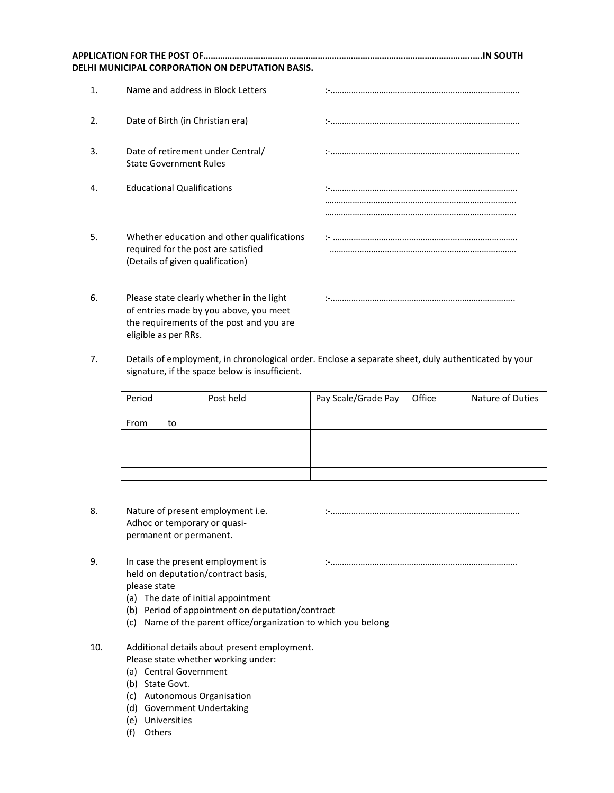|    | DELHI MUNICIPAL CORPORATION ON DEPUTATION BASIS.                                                                                | .IN SOUTH |
|----|---------------------------------------------------------------------------------------------------------------------------------|-----------|
| 1. | Name and address in Block Letters                                                                                               |           |
| 2. | Date of Birth (in Christian era)                                                                                                |           |
| 3. | Date of retirement under Central/<br><b>State Government Rules</b>                                                              |           |
| 4. | <b>Educational Qualifications</b>                                                                                               |           |
| 5. | Whether education and other qualifications<br>required for the post are satisfied<br>(Details of given qualification)           |           |
| 6. | Please state clearly whether in the light<br>of entries made by you above, you meet<br>the requirements of the post and you are |           |

7. Details of employment, in chronological order. Enclose a separate sheet, duly authenticated by your signature, if the space below is insufficient.

| Period |    | Post held | Pay Scale/Grade Pay | Office | Nature of Duties |
|--------|----|-----------|---------------------|--------|------------------|
| From   | to |           |                     |        |                  |
|        |    |           |                     |        |                  |
|        |    |           |                     |        |                  |
|        |    |           |                     |        |                  |
|        |    |           |                     |        |                  |

- 8. Nature of present employment i.e. **South and the Construction Construction** is the Nature of present employment i.e. Adhoc or temporary or quasipermanent or permanent.
- 9. In case the present employment is :-……………………………………………………………………… held on deputation/contract basis, please state

eligible as per RRs.

- (a) The date of initial appointment
- (b) Period of appointment on deputation/contract
- (c) Name of the parent office/organization to which you belong

# 10. Additional details about present employment.

- Please state whether working under:
- (a) Central Government
- (b) State Govt.
- (c) Autonomous Organisation
- (d) Government Undertaking
- (e) Universities
- (f) Others